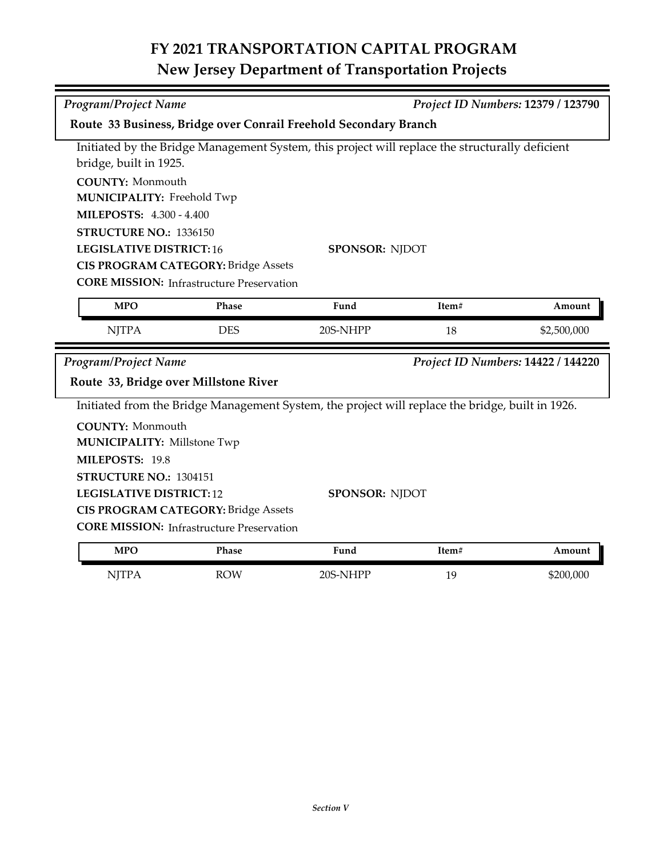## **FY 2021 TRANSPORTATION CAPITAL PROGRAM New Jersey Department of Transportation Projects**

| <b>Program/Project Name</b>                                                                     |                                    |                                                                                                  |       | Project ID Numbers: 12379 / 123790 |  |  |  |
|-------------------------------------------------------------------------------------------------|------------------------------------|--------------------------------------------------------------------------------------------------|-------|------------------------------------|--|--|--|
| Route 33 Business, Bridge over Conrail Freehold Secondary Branch                                |                                    |                                                                                                  |       |                                    |  |  |  |
| Initiated by the Bridge Management System, this project will replace the structurally deficient |                                    |                                                                                                  |       |                                    |  |  |  |
| bridge, built in 1925.                                                                          |                                    |                                                                                                  |       |                                    |  |  |  |
| <b>COUNTY: Monmouth</b>                                                                         |                                    |                                                                                                  |       |                                    |  |  |  |
| <b>MUNICIPALITY: Freehold Twp</b>                                                               |                                    |                                                                                                  |       |                                    |  |  |  |
| <b>MILEPOSTS: 4.300 - 4.400</b>                                                                 |                                    |                                                                                                  |       |                                    |  |  |  |
| STRUCTURE NO.: 1336150                                                                          |                                    |                                                                                                  |       |                                    |  |  |  |
| <b>LEGISLATIVE DISTRICT:16</b><br><b>SPONSOR: NJDOT</b>                                         |                                    |                                                                                                  |       |                                    |  |  |  |
| <b>CIS PROGRAM CATEGORY: Bridge Assets</b>                                                      |                                    |                                                                                                  |       |                                    |  |  |  |
| <b>CORE MISSION:</b> Infrastructure Preservation                                                |                                    |                                                                                                  |       |                                    |  |  |  |
| <b>MPO</b>                                                                                      | Phase                              | Fund                                                                                             | Item# | Amount                             |  |  |  |
| <b>NJTPA</b>                                                                                    | <b>DES</b>                         | 20S-NHPP                                                                                         | 18    | \$2,500,000                        |  |  |  |
| <b>Program/Project Name</b>                                                                     | Project ID Numbers: 14422 / 144220 |                                                                                                  |       |                                    |  |  |  |
| Route 33, Bridge over Millstone River                                                           |                                    |                                                                                                  |       |                                    |  |  |  |
|                                                                                                 |                                    | Initiated from the Bridge Management System, the project will replace the bridge, built in 1926. |       |                                    |  |  |  |
| <b>COUNTY: Monmouth</b>                                                                         |                                    |                                                                                                  |       |                                    |  |  |  |
| <b>MUNICIPALITY: Millstone Twp</b>                                                              |                                    |                                                                                                  |       |                                    |  |  |  |
| MILEPOSTS: 19.8                                                                                 |                                    |                                                                                                  |       |                                    |  |  |  |
| STRUCTURE NO.: 1304151                                                                          |                                    |                                                                                                  |       |                                    |  |  |  |
| <b>SPONSOR: NJDOT</b><br><b>LEGISLATIVE DISTRICT:12</b>                                         |                                    |                                                                                                  |       |                                    |  |  |  |
| <b>CIS PROGRAM CATEGORY: Bridge Assets</b>                                                      |                                    |                                                                                                  |       |                                    |  |  |  |
| <b>CORE MISSION:</b> Infrastructure Preservation                                                |                                    |                                                                                                  |       |                                    |  |  |  |
| <b>MPO</b>                                                                                      | <b>Phase</b>                       | Fund                                                                                             | Item# | Amount                             |  |  |  |

| <b>MPO</b>        | <b>Phase</b> | Fund          | Item#   | \mount    |
|-------------------|--------------|---------------|---------|-----------|
| ΝI<br><b>TTTT</b> | <b>ROW</b>   | NHPP_<br>205- | 1C<br>ᆠ | \$200,000 |